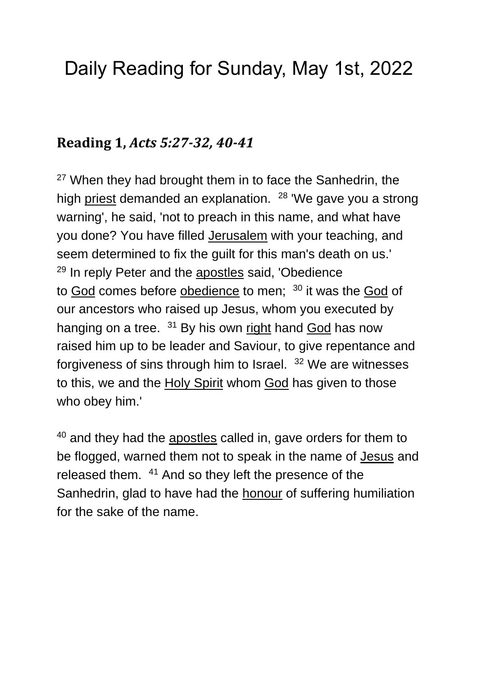# Daily Reading for Sunday, May 1st, 2022

#### **Reading 1,** *Acts 5:27-32, 40-41*

<sup>27</sup> When they had brought them in to face the Sanhedrin, the high [priest](https://www.catholic.org/encyclopedia/view.php?id=9622) demanded an explanation. <sup>28</sup> 'We gave you a strong warning', he said, 'not to preach in this name, and what have you done? You have filled [Jerusalem](https://www.catholic.org/encyclopedia/view.php?id=6304) with your teaching, and seem determined to fix the guilt for this man's death on us.' <sup>29</sup> In reply Peter and the **[apostles](https://www.catholic.org/encyclopedia/view.php?id=933)** said, 'Obedience to [God](https://www.catholic.org/encyclopedia/view.php?id=5217) comes before [obedience](https://www.catholic.org/encyclopedia/view.php?id=8604) to men; <sup>30</sup> it was the God of our ancestors who raised up Jesus, whom you executed by hanging on a tree. <sup>31</sup> By his own [right](https://www.catholic.org/encyclopedia/view.php?id=10046) hand [God](https://www.catholic.org/encyclopedia/view.php?id=5217) has now raised him up to be leader and Saviour, to give repentance and forgiveness of sins through him to Israel. <sup>32</sup> We are witnesses to this, we and the [Holy Spirit](https://www.catholic.org/encyclopedia/view.php?id=5854) whom [God](https://www.catholic.org/encyclopedia/view.php?id=5217) has given to those who obey him.'

<sup>40</sup> and they had the [apostles](https://www.catholic.org/encyclopedia/view.php?id=933) called in, gave orders for them to be flogged, warned them not to speak in the name of [Jesus](https://www.catholic.org/clife/jesus) and released them. <sup>41</sup> And so they left the presence of the Sanhedrin, glad to have had the [honour](https://www.catholic.org/encyclopedia/view.php?id=5884) of suffering humiliation for the sake of the name.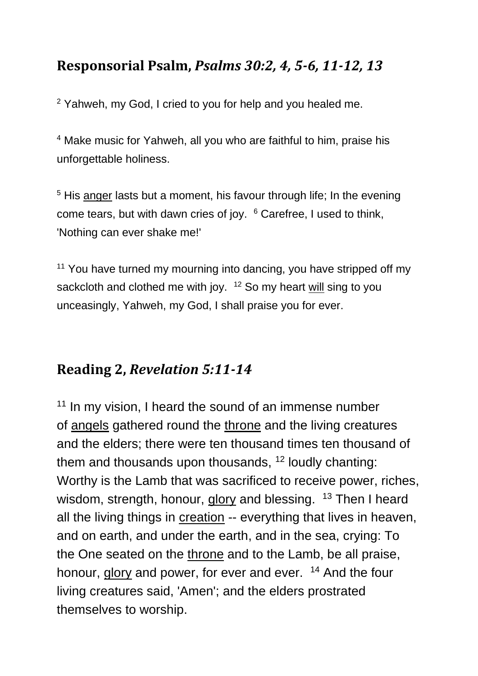### **Responsorial Psalm,** *Psalms 30:2, 4, 5-6, 11-12, 13*

<sup>2</sup> Yahweh, my God, I cried to you for help and you healed me.

<sup>4</sup> Make music for Yahweh, all you who are faithful to him, praise his unforgettable holiness.

<sup>5</sup> His [anger](https://www.catholic.org/encyclopedia/view.php?id=789) lasts but a moment, his favour through life; In the evening come tears, but with dawn cries of joy. <sup>6</sup> Carefree, I used to think, 'Nothing can ever shake me!'

<sup>11</sup> You have turned my mourning into dancing, you have stripped off my sackcloth and clothed me with joy. <sup>12</sup> So my heart [will](https://www.catholic.org/encyclopedia/view.php?id=12332) sing to you unceasingly, Yahweh, my God, I shall praise you for ever.

#### **Reading 2,** *Revelation 5:11-14*

 $11$  In my vision, I heard the sound of an immense number of [angels](https://www.catholic.org/saints/angel.php) gathered round the [throne](https://www.catholic.org/encyclopedia/view.php?id=11541) and the living creatures and the elders; there were ten thousand times ten thousand of them and thousands upon thousands,  $12$  loudly chanting: Worthy is the Lamb that was sacrificed to receive power, riches, wisdom, strength, honour, [glory](https://www.catholic.org/encyclopedia/view.php?id=5201) and blessing. <sup>13</sup> Then I heard all the living things in [creation](https://www.catholic.org/encyclopedia/view.php?id=3475) -- everything that lives in heaven, and on earth, and under the earth, and in the sea, crying: To the One seated on the [throne](https://www.catholic.org/encyclopedia/view.php?id=11541) and to the Lamb, be all praise, honour, [glory](https://www.catholic.org/encyclopedia/view.php?id=5201) and power, for ever and ever. <sup>14</sup> And the four living creatures said, 'Amen'; and the elders prostrated themselves to worship.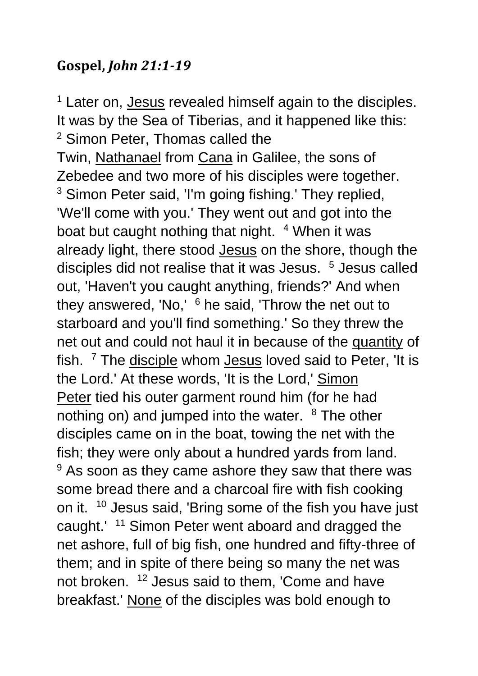## **Gospel,** *John 21:1-19*

<sup>1</sup> Later on, [Jesus](https://www.catholic.org/clife/jesus) revealed himself again to the disciples. It was by the Sea of Tiberias, and it happened like this: <sup>2</sup> Simon Peter, Thomas called the Twin, [Nathanael](https://www.catholic.org/encyclopedia/view.php?id=8342) from [Cana](https://www.catholic.org/encyclopedia/view.php?id=2453) in Galilee, the sons of Zebedee and two more of his disciples were together. <sup>3</sup> Simon Peter said, 'I'm going fishing.' They replied, 'We'll come with you.' They went out and got into the boat but caught nothing that night. <sup>4</sup> When it was already light, there stood [Jesus](https://www.catholic.org/clife/jesus) on the shore, though the disciples did not realise that it was Jesus. <sup>5</sup> Jesus called out, 'Haven't you caught anything, friends?' And when they answered, 'No,' <sup>6</sup> he said, 'Throw the net out to starboard and you'll find something.' So they threw the net out and could not haul it in because of the [quantity](https://www.catholic.org/encyclopedia/view.php?id=9769) of fish. <sup>7</sup> The [disciple](https://www.catholic.org/encyclopedia/view.php?id=3895) whom [Jesus](https://www.catholic.org/clife/jesus) loved said to Peter, 'It is the Lord.' At these words, 'It is the Lord,' [Simon](https://www.catholic.org/encyclopedia/view.php?id=10842)  [Peter](https://www.catholic.org/encyclopedia/view.php?id=10842) tied his outer garment round him (for he had nothing on) and jumped into the water. <sup>8</sup> The other disciples came on in the boat, towing the net with the fish; they were only about a hundred yards from land.  $9$  As soon as they came ashore they saw that there was some bread there and a charcoal fire with fish cooking on it. <sup>10</sup> Jesus said, 'Bring some of the fish you have just caught.' <sup>11</sup> Simon Peter went aboard and dragged the net ashore, full of big fish, one hundred and fifty-three of them; and in spite of there being so many the net was not broken. <sup>12</sup> Jesus said to them, 'Come and have breakfast.' [None](https://www.catholic.org/encyclopedia/view.php?id=8523) of the disciples was bold enough to